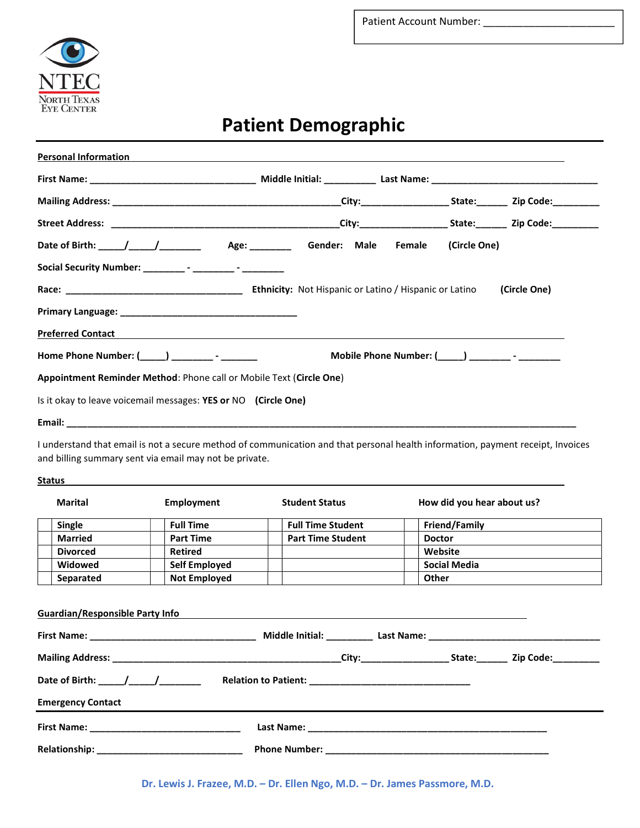

# Patient Demographic

| <b>Personal Information</b>                                         |                                                          |              |
|---------------------------------------------------------------------|----------------------------------------------------------|--------------|
|                                                                     |                                                          |              |
|                                                                     |                                                          |              |
|                                                                     |                                                          |              |
|                                                                     |                                                          |              |
|                                                                     |                                                          |              |
|                                                                     |                                                          | (Circle One) |
|                                                                     |                                                          |              |
| <b>Preferred Contact Preferred Contact</b>                          |                                                          |              |
| Home Phone Number: (_____) _________ - ________                     | Mobile Phone Number: (_____) ____________- - ___________ |              |
| Appointment Reminder Method: Phone call or Mobile Text (Circle One) |                                                          |              |
| Is it okay to leave voicemail messages: YES or NO (Circle One)      |                                                          |              |
|                                                                     |                                                          |              |

I understand that email is not a secure method of communication and that personal health information, payment receipt, Invoices and billing summary sent via email may not be private.

#### **Status**

| <b>Marital</b>                         | <b>Employment</b>    | <b>Student Status</b>    | How did you hear about us?            |
|----------------------------------------|----------------------|--------------------------|---------------------------------------|
| Single                                 | <b>Full Time</b>     | <b>Full Time Student</b> | Friend/Family                         |
| <b>Married</b>                         | <b>Part Time</b>     | <b>Part Time Student</b> | <b>Doctor</b>                         |
| <b>Divorced</b>                        | <b>Retired</b>       |                          | Website                               |
| Widowed                                | <b>Self Employed</b> |                          | <b>Social Media</b>                   |
| Separated                              | <b>Not Employed</b>  |                          | Other                                 |
|                                        |                      |                          |                                       |
| <b>Guardian/Responsible Party Info</b> |                      |                          | Middle Initial: Last Name: Last Name: |

| Date of Birth:                                                      | <b>Relation to Patient:</b>                                                                                           |
|---------------------------------------------------------------------|-----------------------------------------------------------------------------------------------------------------------|
| $\mathcal{L}$ and $\mathcal{L}$ and $\mathcal{L}$ and $\mathcal{L}$ | <u> 1980 - Jan Bernard Bernard, mangang mengang pada pada 1980 - pada pada 1980 - pada pada pada 1980 - pada pada</u> |
| <b>Emergency Contact</b>                                            |                                                                                                                       |
| <b>First Name:</b>                                                  | Last Name:                                                                                                            |
|                                                                     |                                                                                                                       |
| Relationship:                                                       | <b>Phone Number:</b>                                                                                                  |

Dr. Lewis J. Frazee, M.D. – Dr. Ellen Ngo, M.D. – Dr. James Passmore, M.D.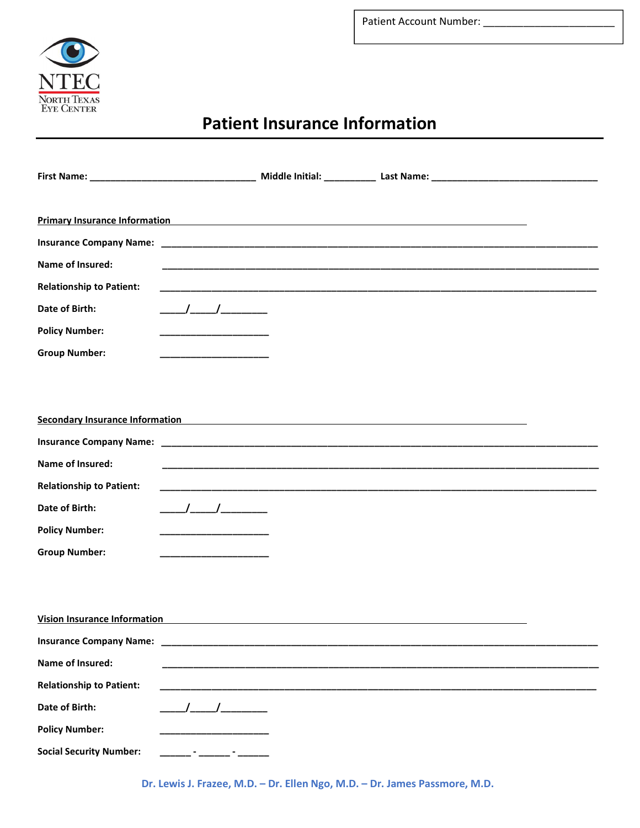

## Patient Insurance Information

| Primary Insurance Information <b>Example 2018</b> and 2019 12:00:00 the Contract of Contract Contract of Contract Contract Contract On the Contract On the Contract On the Contract On the Contract On the Contract On the Contract |                                                                                                                                                                                                                                                                                                                     |                                                                                                                       |  |
|-------------------------------------------------------------------------------------------------------------------------------------------------------------------------------------------------------------------------------------|---------------------------------------------------------------------------------------------------------------------------------------------------------------------------------------------------------------------------------------------------------------------------------------------------------------------|-----------------------------------------------------------------------------------------------------------------------|--|
|                                                                                                                                                                                                                                     |                                                                                                                                                                                                                                                                                                                     |                                                                                                                       |  |
| Name of Insured:                                                                                                                                                                                                                    |                                                                                                                                                                                                                                                                                                                     |                                                                                                                       |  |
| <b>Relationship to Patient:</b>                                                                                                                                                                                                     |                                                                                                                                                                                                                                                                                                                     |                                                                                                                       |  |
| Date of Birth:                                                                                                                                                                                                                      | $\frac{1}{2}$ $\frac{1}{2}$ $\frac{1}{2}$ $\frac{1}{2}$ $\frac{1}{2}$ $\frac{1}{2}$ $\frac{1}{2}$ $\frac{1}{2}$ $\frac{1}{2}$ $\frac{1}{2}$ $\frac{1}{2}$ $\frac{1}{2}$ $\frac{1}{2}$ $\frac{1}{2}$ $\frac{1}{2}$ $\frac{1}{2}$ $\frac{1}{2}$ $\frac{1}{2}$ $\frac{1}{2}$ $\frac{1}{2}$ $\frac{1}{2}$ $\frac{1}{2}$ |                                                                                                                       |  |
| <b>Policy Number:</b>                                                                                                                                                                                                               |                                                                                                                                                                                                                                                                                                                     |                                                                                                                       |  |
| <b>Group Number:</b>                                                                                                                                                                                                                | ________________                                                                                                                                                                                                                                                                                                    |                                                                                                                       |  |
|                                                                                                                                                                                                                                     |                                                                                                                                                                                                                                                                                                                     |                                                                                                                       |  |
|                                                                                                                                                                                                                                     |                                                                                                                                                                                                                                                                                                                     |                                                                                                                       |  |
| <b>Secondary Insurance Information Secondary Insurance Information</b>                                                                                                                                                              |                                                                                                                                                                                                                                                                                                                     |                                                                                                                       |  |
|                                                                                                                                                                                                                                     |                                                                                                                                                                                                                                                                                                                     |                                                                                                                       |  |
| Name of Insured:                                                                                                                                                                                                                    |                                                                                                                                                                                                                                                                                                                     |                                                                                                                       |  |
| <b>Relationship to Patient:</b>                                                                                                                                                                                                     |                                                                                                                                                                                                                                                                                                                     | <u> 1980 - Johann Stoff, amerikan bestein de stad in de stad in de stad in de stad in de stad in de stad in de st</u> |  |
| Date of Birth:                                                                                                                                                                                                                      | $\begin{array}{c} \begin{array}{c} \begin{array}{c} \end{array} \end{array}$                                                                                                                                                                                                                                        |                                                                                                                       |  |
| <b>Policy Number:</b>                                                                                                                                                                                                               | <u> 1960 - Johann Marie Barn, mars ar breis an t-</u>                                                                                                                                                                                                                                                               |                                                                                                                       |  |
| <b>Group Number:</b>                                                                                                                                                                                                                |                                                                                                                                                                                                                                                                                                                     |                                                                                                                       |  |
|                                                                                                                                                                                                                                     |                                                                                                                                                                                                                                                                                                                     |                                                                                                                       |  |
|                                                                                                                                                                                                                                     |                                                                                                                                                                                                                                                                                                                     |                                                                                                                       |  |
| <b>Vision Insurance Information</b>                                                                                                                                                                                                 |                                                                                                                                                                                                                                                                                                                     |                                                                                                                       |  |
| <b>Insurance Company Name:</b>                                                                                                                                                                                                      |                                                                                                                                                                                                                                                                                                                     |                                                                                                                       |  |
| Name of Insured:                                                                                                                                                                                                                    |                                                                                                                                                                                                                                                                                                                     |                                                                                                                       |  |
| <b>Relationship to Patient:</b>                                                                                                                                                                                                     |                                                                                                                                                                                                                                                                                                                     |                                                                                                                       |  |
| Date of Birth:                                                                                                                                                                                                                      |                                                                                                                                                                                                                                                                                                                     |                                                                                                                       |  |
| <b>Policy Number:</b>                                                                                                                                                                                                               |                                                                                                                                                                                                                                                                                                                     |                                                                                                                       |  |
| <b>Social Security Number:</b>                                                                                                                                                                                                      |                                                                                                                                                                                                                                                                                                                     |                                                                                                                       |  |

Dr. Lewis J. Frazee, M.D. – Dr. Ellen Ngo, M.D. – Dr. James Passmore, M.D.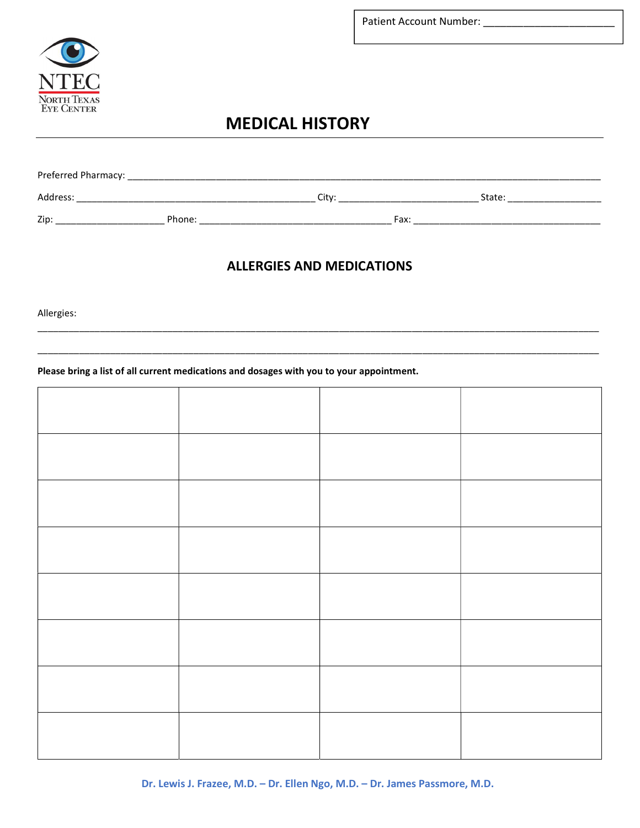



## **MEDICAL HISTORY**

| Preferred Pharmacy: |        |       |      |        |
|---------------------|--------|-------|------|--------|
| Address:            |        | Citv: |      | State: |
| Zip:                | Phone: |       | Fax: |        |

### **ALLERGIES AND MEDICATIONS**

Allergies:

#### Please bring a list of all current medications and dosages with you to your appointment.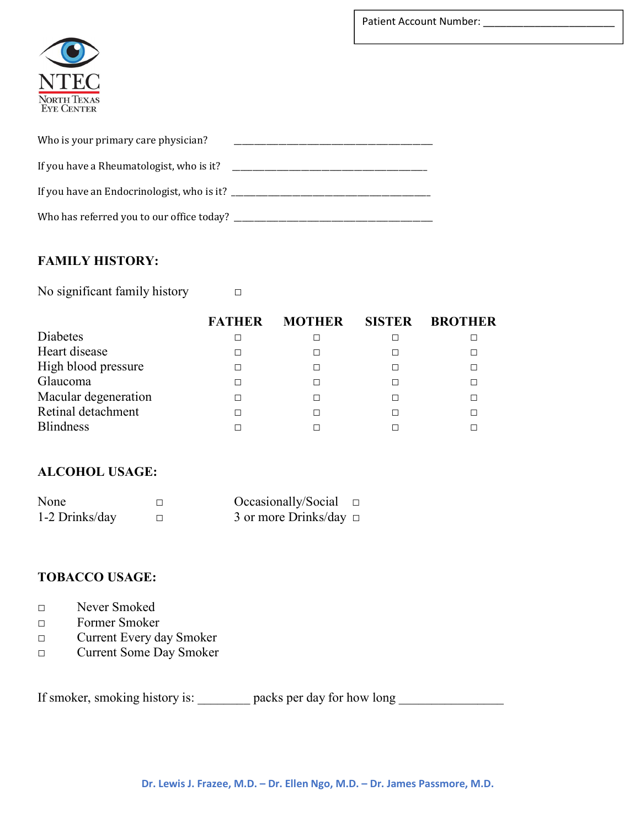

| Who is your primary care physician?        |  |
|--------------------------------------------|--|
| If you have a Rheumatologist, who is it?   |  |
| If you have an Endocrinologist, who is it? |  |
| Who has referred you to our office today?  |  |

#### FAMILY HISTORY:

No significant family history □

|                      | <b>FATHER</b> | <b>MOTHER</b> | <b>SISTER</b> | <b>BROTHER</b> |
|----------------------|---------------|---------------|---------------|----------------|
| Diabetes             |               |               |               |                |
| Heart disease        |               |               |               |                |
| High blood pressure  |               |               |               |                |
| Glaucoma             |               |               |               |                |
| Macular degeneration |               |               |               |                |
| Retinal detachment   |               |               |               |                |
| <b>Blindness</b>     |               |               |               |                |

#### ALCOHOL USAGE:

| None           | Occasionally/Social $\square$ |  |
|----------------|-------------------------------|--|
| 1-2 Drinks/day | 3 or more Drinks/day $\Box$   |  |

#### TOBACCO USAGE:

- □ Never Smoked
- □ Former Smoker
- □ Current Every day Smoker
- □ Current Some Day Smoker

If smoker, smoking history is: \_\_\_\_\_\_\_\_\_ packs per day for how long \_\_\_\_\_\_\_\_\_\_\_\_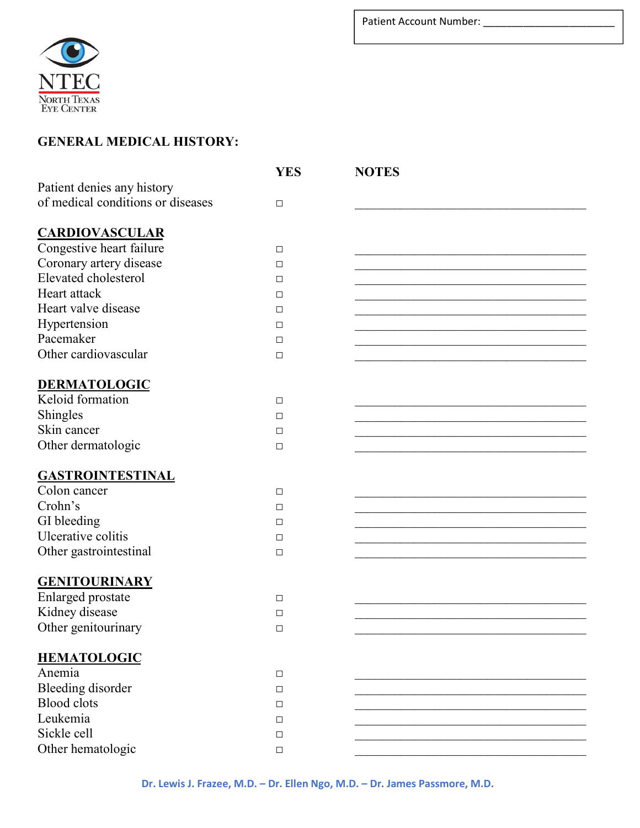

### GENERAL MEDICAL HISTORY:

|                                   | <b>YES</b> | <b>NOTES</b> |
|-----------------------------------|------------|--------------|
| Patient denies any history        |            |              |
| of medical conditions or diseases | $\Box$     |              |
|                                   |            |              |
| <b>CARDIOVASCULAR</b>             |            |              |
| Congestive heart failure          | $\Box$     |              |
| Coronary artery disease           | $\Box$     |              |
| Elevated cholesterol              | $\Box$     |              |
| Heart attack                      | $\Box$     |              |
| Heart valve disease               | $\Box$     |              |
| Hypertension                      | $\Box$     |              |
| Pacemaker                         | $\Box$     |              |
| Other cardiovascular              | $\Box$     |              |
|                                   |            |              |
| DERMATOLOGIC                      |            |              |
| Keloid formation                  | $\Box$     |              |
| Shingles                          | $\Box$     |              |
| Skin cancer                       | $\Box$     |              |
| Other dermatologic                | $\Box$     |              |
|                                   |            |              |
| <b>GASTROINTESTINAL</b>           |            |              |
| Colon cancer                      | $\Box$     |              |
| Crohn's                           | $\Box$     |              |
| GI bleeding                       | $\Box$     |              |
| Ulcerative colitis                | $\Box$     |              |
| Other gastrointestinal            | $\Box$     |              |
|                                   |            |              |
| <b>GENITOURINARY</b>              |            |              |
| Enlarged prostate                 | $\Box$     |              |
| Kidney disease                    | $\Box$     |              |
| Other genitourinary               | $\Box$     |              |
| <b>HEMATOLOGIC</b>                |            |              |
| Anemia                            | $\Box$     |              |
| Bleeding disorder                 | $\Box$     |              |
| <b>Blood</b> clots                | $\Box$     |              |
| Leukemia                          | $\Box$     |              |
| Sickle cell                       | $\Box$     |              |
| Other hematologic                 | $\Box$     |              |
|                                   |            |              |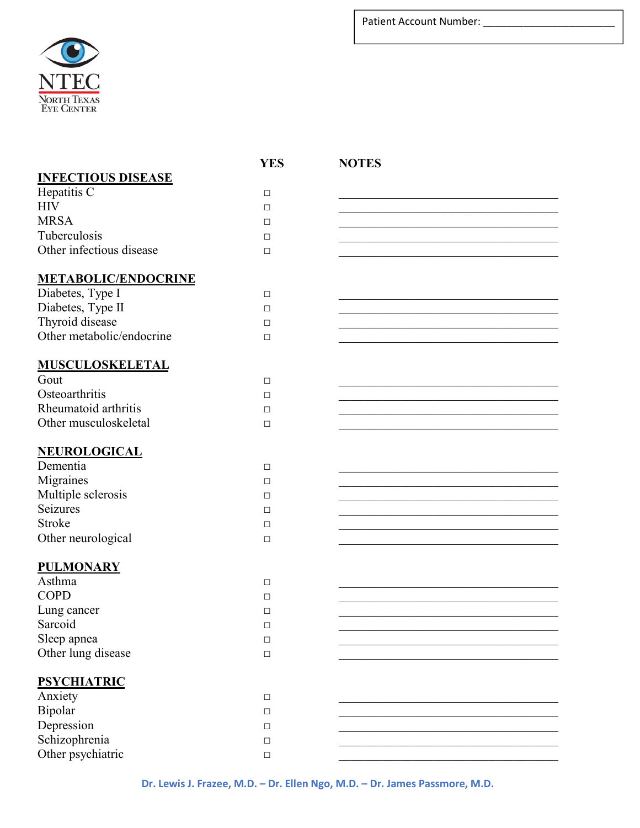

|                            | <b>YES</b> | <b>NOTES</b> |
|----------------------------|------------|--------------|
| <b>INFECTIOUS DISEASE</b>  |            |              |
| Hepatitis C                | $\Box$     |              |
| HIV                        | □          |              |
| <b>MRSA</b>                | □          |              |
| Tuberculosis               | □          |              |
| Other infectious disease   | $\Box$     |              |
|                            |            |              |
| <b>METABOLIC/ENDOCRINE</b> |            |              |
| Diabetes, Type I           | $\Box$     |              |
| Diabetes, Type II          | □          |              |
| Thyroid disease            | $\Box$     |              |
| Other metabolic/endocrine  | $\Box$     |              |
|                            |            |              |
| <b>MUSCULOSKELETAL</b>     |            |              |
| Gout                       | $\Box$     |              |
| Osteoarthritis             | □          |              |
| Rheumatoid arthritis       | $\Box$     |              |
| Other musculoskeletal      | $\Box$     |              |
|                            |            |              |
| <u>NEUROLOGICAL</u>        |            |              |
| Dementia                   | $\Box$     |              |
| Migraines                  | $\Box$     |              |
| Multiple sclerosis         | □          |              |
| Seizures                   | □          |              |
| Stroke                     | $\Box$     |              |
| Other neurological         | $\Box$     |              |
|                            |            |              |
| <b>PULMONARY</b>           |            |              |
| Asthma                     | $\Box$     |              |
| <b>COPD</b>                | □          |              |
| Lung cancer                | □          |              |
| Sarcoid                    | $\Box$     |              |
| Sleep apnea                | $\Box$     |              |
| Other lung disease         | $\Box$     |              |
|                            |            |              |
| <b>PSYCHIATRIC</b>         |            |              |
| Anxiety                    | $\Box$     |              |
| Bipolar                    | □          |              |
| Depression                 | □          |              |
| Schizophrenia              | $\Box$     |              |
| Other psychiatric          | $\Box$     |              |

Dr. Lewis J. Frazee, M.D. – Dr. Ellen Ngo, M.D. – Dr. James Passmore, M.D.